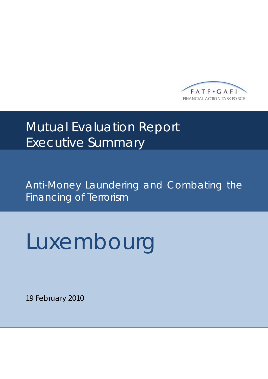

# **Mutual Evaluation Report** Executive Summary

Anti-Money Laundering and Combating the Financing of Terrorism

# Luxembourg

19 February 2010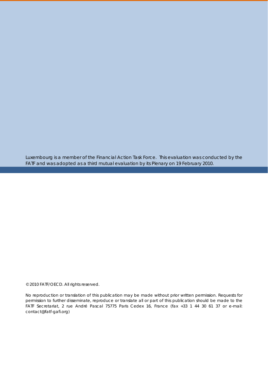Luxembourg is a member of the Financial Action Task Force. This evaluation was conducted by the FATF and was adopted as a third mutual evaluation by its Plenary on 19 February 2010.

#### © 2010 FATF/OECD. All rights reserved.

No reproduction or translation of this publication may be made without prior written permission. Requests for permission to further disseminate, reproduce or translate all or part of this publication should be made to the FATF Secretariat, 2 rue André Pascal 75775 Paris Cedex 16, France (fax +33 1 44 30 61 37 or e-mail: contact@fatf-gafi.org)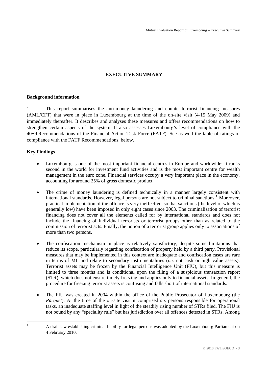# **EXECUTIVE SUMMARY**

## <span id="page-2-0"></span>**Background information**

1. This report summarises the anti-money laundering and counter-terrorist financing measures (AML/CFT) that were in place in Luxembourg at the time of the on-site visit (4-15 May 2009) and immediately thereafter. It describes and analyses these measures and offers recommendations on how to strengthen certain aspects of the system. It also assesses Luxembourg's level of compliance with the 40+9 Recommendations of the Financial Action Task Force (FATF). See as well the table of ratings of compliance with the FATF Recommendations, below.

# **Key Findings**

- Luxembourg is one of the most important financial centres in Europe and worldwide; it ranks second in the world for investment fund activities and is the most important centre for wealth management in the euro zone. Financial services occupy a very important place in the economy, accounting for around 25% of gross domestic product.
- The crime of money laundering is defined technically in a manner largely consistent with international standards. However, legal persons are not subject to criminal sanctions.<sup>[1](#page-2-0)</sup> Moreover, practical implementation of the offence is very ineffective, so that sanctions (the level of which is generally low) have been imposed in only eight cases since 2003. The criminalisation of terrorist financing does not cover all the elements called for by international standards and does not include the financing of individual terrorists or terrorist groups other than as related to the commission of terrorist acts. Finally, the notion of a terrorist group applies only to associations of more than two persons.
- The confiscation mechanism in place is relatively satisfactory, despite some limitations that reduce its scope, particularly regarding confiscation of property held by a third party. Provisional measures that may be implemented in this context are inadequate and confiscation cases are rare in terms of ML and relate to secondary instrumentalities (*i.e.* not cash or high value assets). Terrorist assets may be frozen by the Financial Intelligence Unit (FIU), but this measure is limited to three months and is conditional upon the filing of a suspicious transaction report (STR), which does not ensure timely freezing and applies only to financial assets. In general, the procedure for freezing terrorist assets is confusing and falls short of international standards.
- The FIU was created in 2004 within the office of the Public Prosecutor of Luxembourg (the *Parquet*). At the time of the on-site visit it comprised six persons responsible for operational tasks, an inadequate staffing level in light of the steadily rising number of STRs filed. The FIU is not bound by any "speciality rule" but has jurisdiction over all offences detected in STRs. Among

 $\frac{1}{1}$  A draft law establishing criminal liability for legal persons was adopted by the Luxembourg Parliament on 4 February 2010.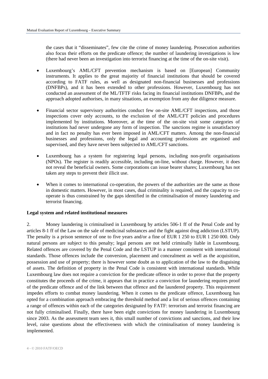the cases that it "disseminates", few cite the crime of money laundering. Prosecution authorities also focus their efforts on the predicate offence; the number of laundering investigations is low (there had never been an investigation into terrorist financing at the time of the on-site visit).

- Luxembourg's AML/CFT prevention mechanism is based on [European] Community instruments. It applies to the great majority of financial institutions that should be covered according to FATF rules, as well as designated non-financial businesses and professions (DNFBPs), and it has been extended to other professions. However, Luxembourg has not conducted an assessment of the ML/TFTF risks facing its financial institutions DNFBPs, and the approach adopted authorises, in many situations, an exemption from any due diligence measure.
- Financial sector supervisory authorities conduct few on-site AML/CFT inspections, and those inspections cover only accounts, to the exclusion of the AML/CFT policies and procedures implemented by institutions. Moreover, at the time of the on-site visit some categories of institutions had never undergone any form of inspection. The sanctions regime is unsatisfactory and in fact no penalty has ever been imposed in AML/CFT matters. Among the non-financial businesses and professions, only the legal and accounting professions are organised and supervised, and they have never been subjected to AML/CFT sanctions.
- Luxembourg has a system for registering legal persons, including non-profit organisations (NPOs). The register is readily accessible, including on-line, without charge. However, it does not reveal the beneficial owners. Some corporations can issue bearer shares; Luxembourg has not taken any steps to prevent their illicit use.
- When it comes to international co-operation, the powers of the authorities are the same as those in domestic matters. However, in most cases, dual criminality is required, and the capacity to cooperate is thus constrained by the gaps identified in the criminalisation of money laundering and terrorist financing.

#### **Legal system and related institutional measures**

2. Money laundering is criminalised in Luxembourg by articles 506-1 ff of the Penal Code and by articles 8-1 ff of the Law on the sale of medicinal substances and the fight against drug addiction (LSTUP). The penalty is a prison sentence of one to five years and/or a fine of EUR 1 250 to EUR 1 250 000. Only natural persons are subject to this penalty; legal persons are not held criminally liable in Luxembourg. Related offences are covered by the Penal Code and the LSTUP in a manner consistent with international standards. Those offences include the conversion, placement and concealment as well as the acquisition, possession and use of property; there is however some doubt as to application of the law to the disguising of assets. The definition of property in the Penal Code is consistent with international standards. While Luxembourg law does not require a conviction for the predicate offence in order to prove that the property constitutes the proceeds of the crime, it appears that in practice a conviction for laundering requires proof of the predicate offence and of the link between that offence and the laundered property. This requirement impedes efforts to combat money laundering. When it comes to the predicate offence, Luxembourg has opted for a combination approach embracing the threshold method and a list of serious offences containing a range of offences within each of the categories designated by FATF: terrorism and terrorist financing are not fully criminalised. Finally, there have been eight convictions for money laundering in Luxembourg since 2003. As the assessment team sees it, this small number of convictions and sanctions, and their low level, raise questions about the effectiveness with which the criminalisation of money laundering is implemented.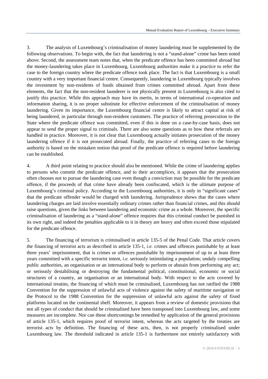3. The analysis of Luxembourg's criminalisation of money laundering must be supplemented by the following observations. To begin with, the fact that laundering is not a "stand-alone" crime has been noted above. Second, the assessment team notes that, when the predicate offence has been committed abroad but the money-laundering takes place in Luxembourg, Luxembourg authorities make it a practice to refer the case to the foreign country where the predicate offence took place. The fact is that Luxembourg is a small country with a very important financial centre. Consequently, laundering in Luxembourg typically involves the investment by non-residents of funds obtained from crimes committed abroad. Apart from these elements, the fact that the non-resident launderer is not physically present in Luxembourg is also cited to justify this practice. While this approach may have its merits, in terms of international co-operation and information sharing, it is no proper substitute for effective enforcement of the criminalisation of money laundering. Given its importance, the Luxembourg financial centre is likely to attract capital at risk of being laundered, in particular through non-resident customers. The practice of referring prosecution to the State where the predicate offence was committed, even if this is done on a case-by-case basis, does not appear to send the proper signal to criminals. There are also some questions as to how these referrals are handled in practice. Moreover, it is not clear that Luxembourg actually initiates prosecution of the money laundering offence if it is not prosecuted abroad. Finally, the practice of referring cases to the foreign authority is based on the mistaken notion that proof of the predicate offence is required before laundering can be established.

4. A third point relating to practice should also be mentioned. While the crime of laundering applies to persons who commit the predicate offence, and to their accomplices, it appears that the prosecution often chooses not to pursue the laundering case even though a conviction may be possible for the predicate offence, if the proceeds of that crime have already been confiscated, which is the ultimate purpose of Luxembourg's criminal policy. According to the Luxembourg authorities, it is only in "significant cases" that the predicate offender would be charged with laundering. Jurisprudence shows that the cases where laundering charges are laid involve essentially ordinary crimes rather than financial crimes, and this should raise questions, given the links between laundering and economic crime as a whole. Moreover, the specific criminalisation of laundering as a "stand-alone" offence requires that this criminal conduct be punished in its own right, and indeed the penalties applicable to it in theory are heavy and often exceed those stipulated for the predicate offence.

5. The financing of terrorism is criminalised in article 135-5 of the Penal Code. That article covers the financing of terrorist acts as described in article 135-1, *i.e.* crimes and offences punishable by at least three years' imprisonment, that is crimes or offences punishable by imprisonment of up to at least three years committed with a specific terrorist intent, *i.e.* seriously intimidating a population; unduly compelling public authorities, an organisation or an international body to perform or abstain from performing any act; or seriously destabilising or destroying the fundamental political, constitutional, economic or social structures of a country, an organisation or an international body. With respect to the acts covered by international treaties, the financing of which must be criminalised, Luxembourg has not ratified the 1988 Convention for the suppression of unlawful acts of violence against the safety of maritime navigation or the Protocol to the 1988 Convention for the suppression of unlawful acts against the safety of fixed platforms located on the continental shelf. Moreover, it appears from a review of domestic provisions that not all types of conduct that should be criminalised have been transposed into Luxembourg law, and some measures are incomplete. Nor can these shortcomings be remedied by application of the general provisions of article 135-1, which requires proof of terrorist intent, whereas the acts targeted by the treaties are terrorist acts by definition. The financing of these acts, then, is not properly criminalised under Luxembourg law. The threshold indicated in article 135-1 is furthermore not entirely satisfactory with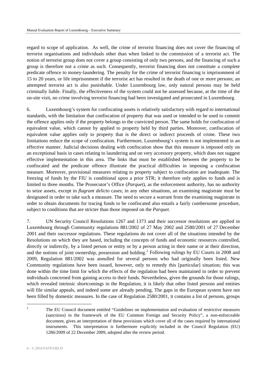<span id="page-5-0"></span>regard to scope of application. As well, the crime of terrorist financing does not cover the financing of terrorist organisations and individuals other than when linked to the commission of a terrorist act. The notion of terrorist group does not cover a group consisting of only two persons, and the financing of such a group is therefore not a crime as such. Consequently, terrorist financing does not constitute a complete predicate offence to money-laundering. The penalty for the crime of terrorist financing is imprisonment of 15 to 20 years, or life imprisonment if the terrorist act has resulted in the death of one or more persons; an attempted terrorist act is also punishable. Under Luxembourg law, only natural persons may be held criminally liable. Finally, the effectiveness of the system could not be assessed because, at the time of the on-site visit, no crime involving terrorist financing had been investigated and prosecuted in Luxembourg.

6. Luxembourg's system for confiscating assets is relatively satisfactory with regard to international standards, with the limitation that confiscation of property that was used or intended to be used to commit the offence applies only if the property belongs to the convicted person. The same holds for confiscation of equivalent value, which cannot by applied to property held by third parties. Moreover, confiscation of equivalent value applies only to property that is the direct or indirect proceeds of crime. These two limitations reduce the scope of confiscation. Furthermore, Luxembourg's system is not implemented in an effective manner. Judicial decisions dealing with confiscation show that this measure is imposed only on an exceptional basis in cases relating to laundering and on very accessory property, which does not suggest effective implementation in this area. The links that must be established between the property to be confiscated and the predicate offence illustrate the practical difficulties in imposing a confiscation measure. Moreover, provisional measures relating to property subject to confiscation are inadequate. The freezing of funds by the FIU is conditional upon a prior STR; it therefore only applies to funds and is limited to three months. The Prosecutor's Office (*Parquet*), as the enforcement authority, has no authority to seize assets, except in *flagrant delicto* cases; in any other situations, an examining magistrate must be designated in order to take such a measure. The need to secure a warrant from the examining magistrate in order to obtain documents for tracing funds to be confiscated also entails a fairly cumbersome procedure, subject to conditions that are stricter than those imposed on the *Parquet*.

7. UN Security Council Resolutions 1267 and 1373 and their successor resolutions are applied in Luxembourg through Community regulations 881/2002 of 27 May 2002 and 2580/2001 of 27 December 2001 and their successor regulations. These regulations do not cover all of the situations intended by the Resolutions on which they are based, including the concepts of funds and economic resources controlled, directly or indirectly, by a listed person or entity or by a person acting in their name or at their direction, and the notions of joint ownership, possession and holding.<sup>[2](#page-5-0)</sup> Following rulings by EU Courts in 2008 and 2009, Regulation 881/2002 was annulled for several persons who had originally been listed. New Community regulations have been issued, however, only to remedy this [particular] situation; this was done within the time limit for which the effects of the regulation had been maintained in order to prevent individuals concerned from gaining access to their funds. Nevertheless, given the grounds for those rulings, which revealed intrinsic shortcomings in the Regulation, it is likely that other listed persons and entities will file similar appeals, and indeed some are already pending. The gaps in the European system have not been filled by domestic measures. In the case of Regulation 2580/2001, it contains a list of persons, groups

1

<sup>2</sup> The EU Council document entitled "Guidelines on implementation and evaluation of restrictive measures (sanctions) in the framework of the EU Common Foreign and Security Policy", a non-enforceable document, gives an interpretation of these provisions which cover all of the cases required by international instruments. This interpretation is furthermore explicitly included in the Council Regulation (EU) 1286/2009 of 22 December 2009, adopted after the review period.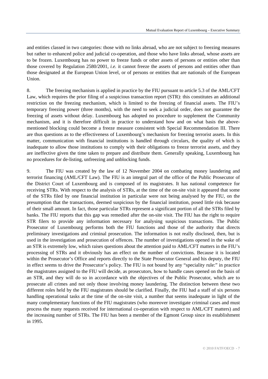and entities classed in two categories: those with no links abroad, who are not subject to freezing measures but rather to enhanced police and judicial co-operation, and those who have links abroad, whose assets are to be frozen. Luxembourg has no power to freeze funds or other assets of persons or entities other than those covered by Regulation 2580/2001, *i.e.* it cannot freeze the assets of persons and entities other than those designated at the European Union level, or of persons or entities that are nationals of the European Union.

8. The freezing mechanism is applied in practice by the FIU pursuant to article 5.3 of the AML/CFT Law, which requires the prior filing of a suspicious transaction report (STR): this constitutes an additional restriction on the freezing mechanism, which is limited to the freezing of financial assets. The FIU's temporary freezing power (three months), with the need to seek a judicial order, does not guarantee the freezing of assets without delay. Luxembourg has adopted no procedure to supplement the Community mechanism, and it is therefore difficult in practice to understand how and on what basis the abovementioned blocking could become a freeze measure consistent with Special Recommendation III. There are thus questions as to the effectiveness of Luxembourg's mechanism for freezing terrorist assets. In this matter, communication with financial institutions is handled through circulars, the quality of which is inadequate to allow those institutions to comply with their obligations to freeze terrorist assets, and they are ineffective given the time taken to prepare and distribute them. Generally speaking, Luxembourg has no procedures for de-listing, unfreezing and unblocking funds.

9. The FIU was created by the law of 12 November 2004 on combating money laundering and terrorist financing (AML/CFT Law). The FIU is an integral part of the office of the Public Prosecutor of the District Court of Luxembourg and is composed of its magistrates. It has national competence for receiving STRs. With respect to the analysis of STRs, at the time of the on-site visit it appeared that some of the STRs filed by one financial institution in particular were not being analysed by the FIU, on the presumption that the transactions, deemed suspicious by the financial institution, posed little risk because of their small amount. In fact, those particular STRs represent a significant portion of all the STRs filed by banks. The FIU reports that this gap was remedied after the on-site visit. The FIU has the right to require STR filers to provide any information necessary for analysing suspicious transactions. The Public Prosecutor of Luxembourg performs both the FIU functions and those of the authority that directs preliminary investigations and criminal prosecution. The information is not really disclosed, then, but is used in the investigation and prosecution of offences. The number of investigations opened in the wake of an STR is extremely low, which raises questions about the attention paid to AML/CFT matters in the FIU's processing of STRs and it obviously has an effect on the number of convictions. Because it is located within the Prosecutor's Office and reports directly to the State Prosecutor General and his deputy, the FIU in effect seems to drive the Prosecutor's policy. The FIU is not bound by any "speciality rule:" in practice the magistrates assigned to the FIU will decide, as prosecutors, how to handle cases opened on the basis of an STR, and they will do so in accordance with the objectives of the Public Prosecutor, which are to prosecute all crimes and not only those involving money laundering. The distinction between these two different roles held by the FIU magistrates should be clarified. Finally, the FIU had a staff of six persons handling operational tasks at the time of the on-site visit, a number that seems inadequate in light of the many complementary functions of the FIU magistrates (who moreover investigate criminal cases and must process the many requests received for international co-operation with respect to AML/CFT matters) and the increasing number of STRs. The FIU has been a member of the Egmont Group since its establishment in 1995.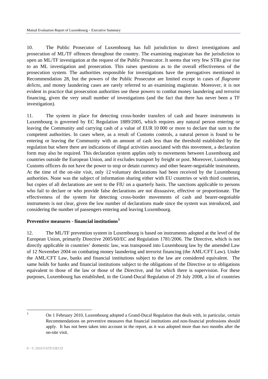<span id="page-7-0"></span>10. The Public Prosecutor of Luxembourg has full jurisdiction to direct investigations and prosecution of ML/TF offences throughout the country. The examining magistrate has the jurisdiction to open an ML/TF investigation at the request of the Public Prosecutor. It seems that very few STRs give rise to an ML investigation and prosecution. This raises questions as to the overall effectiveness of the prosecution system. The authorities responsible for investigations have the prerogatives mentioned in Recommendation 28, but the powers of the Public Prosecutor are limited except in cases of *flagrante delicto*, and money laundering cases are rarely referred to an examining magistrate. Moreover, it is not evident in practice that prosecution authorities use these powers to combat money laundering and terrorist financing, given the very small number of investigations (and the fact that there has never been a TF investigation).

11. The system in place for detecting cross-border transfers of cash and bearer instruments in Luxembourg is governed by EC Regulation 1889/2005, which requires any natural person entering or leaving the Community and carrying cash of a value of EUR 10 000 or more to declare that sum to the competent authorities. In cases where, as a result of Customs controls, a natural person is found to be entering or leaving the Community with an amount of cash less than the threshold established by the regulation but where there are indications of illegal activities associated with this movement, a declaration form may also be required. This declaration system applies only to movements between Luxembourg and countries outside the European Union, and it excludes transport by freight or post. Moreover, Luxembourg Customs officers do not have the power to stop or detain currency and other bearer-negotiable instruments. At the time of the on-site visit, only 12 voluntary declarations had been received by the Luxembourg authorities. None was the subject of information sharing either with EU countries or with third countries, but copies of all declarations are sent to the FIU on a quarterly basis. The sanctions applicable to persons who fail to declare or who provide false declarations are not dissuasive, effective or proportionate. The effectiveness of the system for detecting cross-border movements of cash and bearer-negotiable instruments is not clear, given the low number of declarations made since the system was introduced, and considering the number of passengers entering and leaving Luxembourg.

# **Preventive measures - financial institutions[3](#page-7-0)**

12. The ML/TF prevention system in Luxembourg is based on instruments adopted at the level of the European Union, primarily Directive 2005/60/EC and Regulation 1781/2006. The Directive, which is not directly applicable in countries' domestic law, was transposed into Luxembourg law by the amended Law of 12 November 2004 on combating money laundering and terrorist financing (the AML/CFT Law). Under the AML/CFT Law, banks and financial institutions subject to the law are considered equivalent. The same holds for banks and financial institutions subject to the obligations of the Directive or to obligations equivalent to those of the law or those of the Directive, and for which there is supervision. For these purposes, Luxembourg has established, in the Grand-Ducal Regulation of 29 July 2008, a list of countries

<sup>1</sup> 3

On 1 February 2010, Luxembourg adopted a Grand-Ducal Regulation that deals with, in particular, certain Recommendations on preventive measures that financial institutions and non-financial professions should apply. It has not been taken into account in the report, as it was adopted more than two months after the on-site visit.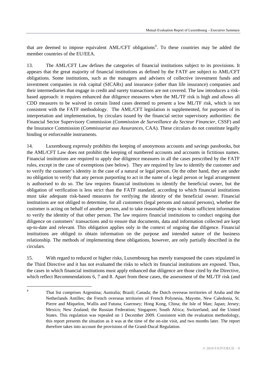<span id="page-8-0"></span>that are deemed to impose equivalent  $AML/CFT$  obligations<sup>[4](#page-8-0)</sup>. To these countries may be added the member countries of the EU/EEA.

13. The AML/CFT Law defines the categories of financial institutions subject to its provisions. It appears that the great majority of financial institutions as defined by the FATF are subject to AML/CFT obligations. Some institutions, such as the managers and advisers of collective investment funds and investment companies in risk capital (SICARs) and insurance (other than life insurance) companies and their intermediaries that engage in credit and surety transactions are not covered. The law introduces a riskbased approach: it requires enhanced due diligence measures when the ML/TF risk is high and allows all CDD measures to be waived in certain listed cases deemed to present a low ML/TF risk, which is not consistent with the FATF methodology. The AML/CFT legislation is supplemented, for purposes of its interpretation and implementation, by circulars issued by the financial sector supervisory authorities: the Financial Sector Supervisory Commission (*Commission de Surveillance du Secteur Financier,* CSSF) and the Insurance Commission (*Commissariat aux Assurances,* CAA). These circulars do not constitute legally binding or enforceable instruments.

14. Luxembourg expressly prohibits the keeping of anonymous accounts and savings passbooks, but the AML/CFT Law does not prohibit the keeping of numbered accounts and accounts in fictitious names. Financial institutions are required to apply due diligence measures in all the cases prescribed by the FATF rules, except in the case of exemptions (see below). They are required by law to identify the customer and to verify the customer's identity in the case of a natural or legal person. On the other hand, they are under no obligation to verify that any person purporting to act in the name of a legal person or legal arrangement is authorised to do so. The law requires financial institutions to identify the beneficial owner, but the obligation of verification is less strict than the FATF standard, according to which financial institutions must take adequate risk-based measures for verifying the identity of the beneficial owner. Financial institutions are not obliged to determine, for all customers (legal persons and natural persons), whether the customer is acting on behalf of another person, and to take reasonable steps to obtain sufficient information to verify the identity of that other person. The law requires financial institutions to conduct ongoing due diligence on customers' transactions and to ensure that documents, data and information collected are kept up-to-date and relevant. This obligation applies only in the context of ongoing due diligence. Financial institutions are obliged to obtain information on the purpose and intended nature of the business relationship. The methods of implementing these obligations, however, are only partially described in the circulars.

15. With regard to reduced or higher risks, Luxembourg has merely transposed the cases stipulated in the Third Directive and it has not evaluated the risks to which its financial institutions are exposed. Thus, the cases in which financial institutions must apply enhanced due diligence are those cited by the Directive, which reflect Recommendations 6, 7 and 8. Apart from these cases, the assessment of the ML/TF risk (and

1

<sup>4</sup> That list comprises Argentina; Australia; Brazil; Canada; the Dutch overseas territories of Aruba and the Netherlands Antilles; the French overseas territories of French Polynesia, Mayotte, New Caledonia, St. Pierre and Miquelon, Wallis and Futuna; Guernsey; Hong Kong, China; the Isle of Man; Japan; Jersey; Mexico; New Zealand; the Russian Federation; Singapore; South Africa; Switzerland; and the United States. This regulation was repealed on 1 December 2009. Consistent with the evaluation methodology, this report presents the situation as it was at the time of the on-site visit, and two months later. The report therefore takes into account the provisions of the Grand-Ducal Regulation.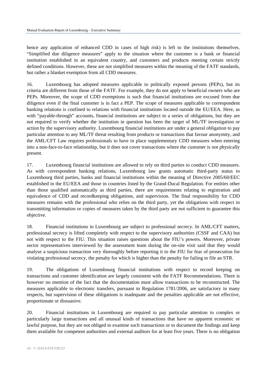hence any application of enhanced CDD in cases of high risk) is left to the institutions themselves. "Simplified due diligence measures" apply to the situation where the customer is a bank or financial institution established in an equivalent country, and customers and products meeting certain strictly defined conditions. However, these are not simplified measures within the meaning of the FATF standards, but rather a blanket exemption from all CDD measures.

16. Luxembourg has adopted measures applicable to politically exposed persons (PEPs), but its criteria are different from those of the FATF. For example, they do not apply to beneficial owners who are PEPs. Moreover, the scope of CDD exemptions is such that financial institutions are excused from due diligence even if the final customer is in fact a PEP. The scope of measures applicable to correspondent banking relations is confined to relations with financial institutions located outside the EU/EEA. Here, as with "payable-through" accounts, financial institutions are subject to a series of obligations, but they are not required to verify whether the institution in question has been the target of ML/TF investigation or action by the supervisory authority. Luxembourg financial institutions are under a general obligation to pay particular attention to any ML/TF threat resulting from products or transactions that favour anonymity, and the AML/CFT Law requires professionals to have in place supplementary CDD measures when entering into a non-face-to-face relationship, but it does not cover transactions where the customer is not physically present.

17. Luxembourg financial institutions are allowed to rely on third parties to conduct CDD measures. As with correspondent banking relations, Luxembourg law grants automatic third-party status to Luxembourg third parties, banks and financial institutions within the meaning of Directive 2005/60/EEC established in the EU/EEA and those in countries listed by the Grand-Ducal Regulation. For entities other than those qualified automatically as third parties, there are requirements relating to registration and equivalence of CDD and recordkeeping obligations, and supervision. The final responsibility for CDD measures remains with the professional who relies on the third party, yet the obligations with respect to transmitting information or copies of measures taken by the third party are not sufficient to guarantee this objective.

18. Financial institutions in Luxembourg are subject to professional secrecy. In AML/CFT matters, professional secrecy is lifted completely with respect to the supervisory authorities (CSSF and CAA) but not with respect to the FIU. This situation raises questions about the FIU's powers. Moreover, private sector representatives interviewed by the assessment team during the on-site visit said that they would analyse a suspicious transaction very thoroughly before reporting it to the FIU for fear of prosecution for violating professional secrecy, the penalty for which is higher than the penalty for failing to file an STR.

19. The obligations of Luxembourg financial institutions with respect to record keeping on transactions and customer identification are largely consistent with the FATF Recommendations. There is however no mention of the fact that the documentation must allow transactions to be reconstructed. The measures applicable to electronic transfers, pursuant to Regulation 1781/2006, are satisfactory in many respects, but supervision of these obligations is inadequate and the penalties applicable are not effective, proportionate or dissuasive.

20. Financial institutions in Luxembourg are required to pay particular attention to complex or particularly large transactions and all unusual kinds of transactions that have no apparent economic or lawful purpose, but they are not obliged to examine such transactions or to document the findings and keep them available for competent authorities and external auditors for at least five years. There is no obligation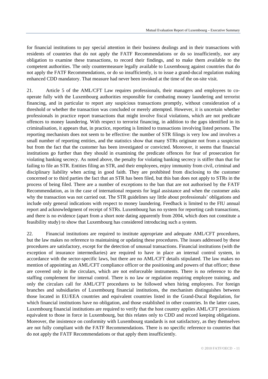for financial institutions to pay special attention in their business dealings and in their transactions with residents of countries that do not apply the FATF Recommendations or do so insufficiently, nor any obligation to examine these transactions, to record their findings, and to make them available to the competent authorities. The only countermeasure legally available to Luxembourg against countries that do not apply the FATF Recommendations, or do so insufficiently, is to issue a grand-ducal regulation making enhanced CDD mandatory. That measure had never been invoked at the time of the on-site visit.

21. Article 5 of the AML/CFT Law requires professionals, their managers and employees to cooperate fully with the Luxembourg authorities responsible for combating money laundering and terrorist financing, and in particular to report any suspicious transactions promptly, without consideration of a threshold or whether the transaction was concluded or merely attempted. However, it is uncertain whether professionals in practice report transactions that might involve fiscal violations, which are not predicate offences to money laundering. With respect to terrorist financing, in addition to the gaps identified in its criminalisation, it appears that, in practice, reporting is limited to transactions involving listed persons. The reporting mechanism does not seem to be effective: the number of STR filings is very low and involves a small number of reporting entities, and the statistics show that many STRs originate not from a suspicion but from the fact that the customer has been investigated or convicted. Moreover, it seems that financial institutions go further than they should in examining the predicate offences for fear of prosecution for violating banking secrecy. As noted above, the penalty for violating banking secrecy is stiffer than that for failing to file an STR. Entities filing an STR, and their employees, enjoy immunity from civil, criminal and disciplinary liability when acting in good faith. They are prohibited from disclosing to the customer concerned or to third parties the fact that an STR has been filed, but this ban does not apply to STRs in the process of being filed. There are a number of exceptions to the ban that are not authorised by the FATF Recommendation, as in the case of international requests for legal assistance and when the customer asks why the transaction was not carried out. The STR guidelines say little about professionals' obligations and include only general indications with respect to money laundering. Feedback is limited to the FIU annual report and acknowledgment of receipt of STRs. Luxembourg has no system for reporting cash transactions, and there is no evidence (apart from a short note dating apparently from 2004, which does not constitute a feasibility study) to show that Luxembourg has considered introducing such a system.

22. Financial institutions are required to institute appropriate and adequate AML/CFT procedures, but the law makes no reference to maintaining or updating these procedures. The issues addressed by these procedures are satisfactory, except for the detection of unusual transactions. Financial institutions (with the exception of insurance intermediaries) are required to have in place an internal control system, in accordance with the sector-specific laws, but there are no AML/CFT details stipulated. The law makes no mention of appointing an AML/CFT compliance officer or the positioning and powers of that officer; these are covered only in the circulars, which are not enforceable instruments. There is no reference to the staffing complement for internal control. There is no law or regulation requiring employee training, and only the circulars call for AML/CFT procedures to be followed when hiring employees. For foreign branches and subsidiaries of Luxembourg financial institutions, the mechanism distinguishes between those located in EU/EEA countries and equivalent countries listed in the Grand-Ducal Regulation, for which financial institutions have no obligation, and those established in other countries. In the latter cases, Luxembourg financial institutions are required to verify that the host country applies AML/CFT provisions equivalent to those in force in Luxembourg, but this relates only to CDD and record keeping obligations. Moreover, the insistence on conformity with Luxembourg standards is not satisfactory, as they themselves are not fully compliant with the FATF Recommendations. There is no specific reference to countries that do not apply the FATF Recommendations or that apply them insufficiently.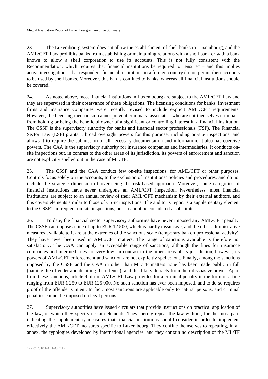23. The Luxembourg system does not allow the establishment of shell banks in Luxembourg, and the AML/CFT Law prohibits banks from establishing or maintaining relations with a shell bank or with a bank known to allow a shell corporation to use its accounts. This is not fully consistent with the Recommendation, which requires that financial institutions be required to "ensure" – and this implies active investigation – that respondent financial institutions in a foreign country do not permit their accounts to be used by shell banks. Moreover, this ban is confined to banks, whereas all financial institutions should be covered.

24. As noted above, most financial institutions in Luxembourg are subject to the AML/CFT Law and they are supervised in their observance of these obligations. The licensing conditions for banks, investment firms and insurance companies were recently revised to include explicit AML/CFT requirements. However, the licensing mechanism cannot prevent criminals' associates, who are not themselves criminals, from holding or being the beneficial owner of a significant or controlling interest in a financial institution. The CSSF is the supervisory authority for banks and financial sector professionals (FSP). The Financial Sector Law (LSF) grants it broad oversight powers for this purpose, including on-site inspections, and allows it to require the submission of all necessary documentation and information. It also has coercive powers. The CAA is the supervisory authority for insurance companies and intermediaries. It conducts onsite inspections but, in contrast to the other areas of its jurisdiction, its powers of enforcement and sanction are not explicitly spelled out in the case of ML/TF.

25. The CSSF and the CAA conduct few on-site inspections, for AML/CFT or other purposes. Controls focus solely on the accounts, to the exclusion of institutions' policies and procedures, and do not include the strategic dimension of overseeing the risk-based approach. Moreover, some categories of financial institutions have never undergone an AML/CFT inspection. Nevertheless, most financial institutions are subject to an annual review of their AML/CFT mechanism by their external auditors, and this covers elements similar to those of CSSF inspections. The auditor's report is a supplementary element to the CSSF's infrequent on-site inspections, but it cannot be considered a substitute.

26. To date, the financial sector supervisory authorities have never imposed any AML/CFT penalty. The CSSF can impose a fine of up to EUR 12 500, which is hardly dissuasive, and the other administrative measures available to it are at the extremes of the sanctions scale (temporary ban on professional activity). They have never been used in AML/CFT matters. The range of sanctions available is therefore not satisfactory. The CAA can apply an acceptable range of sanctions, although the fines for insurance companies and intermediaries are very low. In contrast to the other areas of its jurisdiction, however, its powers of AML/CFT enforcement and sanction are not explicitly spelled out. Finally, among the sanctions imposed by the CSSF and the CAA in other than ML/TF matters none has been made public in full (naming the offender and detailing the offence), and this likely detracts from their dissuasive power. Apart from these sanctions, article 9 of the AML/CFT Law provides for a criminal penalty in the form of a fine ranging from EUR 1 250 to EUR 125 000. No such sanction has ever been imposed, and to do so requires proof of the offender's intent. In fact, most sanctions are applicable only to natural persons, and criminal penalties cannot be imposed on legal persons.

27. Supervisory authorities have issued circulars that provide instructions on practical application of the law, of which they specify certain elements. They merely repeat the law without, for the most part, indicating the supplementary measures that financial institutions should consider in order to implement effectively the AML/CFT measures specific to Luxembourg. They confine themselves to repeating, in an annex, the typologies developed by international agencies, and they contain no description of the ML/TF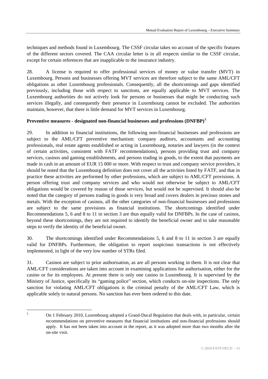<span id="page-12-0"></span>techniques and methods found in Luxembourg. The CSSF circular takes no account of the specific features of the different sectors covered. The CAA circular letter is in all respects similar to the CSSF circular, except for certain references that are inapplicable to the insurance industry.

28. A license is required to offer professional services of money or value transfer (MVT) in Luxembourg. Persons and businesses offering MVT services are therefore subject to the same AML/CFT obligations as other Luxembourg professionals. Consequently, all the shortcomings and gaps identified previously, including those with respect to sanctions, are equally applicable to MVT services. The Luxembourg authorities do not actively look for persons or businesses that might be conducting such services illegally, and consequently their presence in Luxembourg cannot be excluded. The authorities maintain, however, that there is little demand for MVT services in Luxembourg.

# **Preventive measures - designated non-financial businesses and professions (DNFBP)[5](#page-12-0)**

29. In addition to financial institutions, the following non-financial businesses and professions are subject to the AML/CFT preventive mechanism: company auditors, accountants and accounting professionals, real estate agents established or acting in Luxembourg, notaries and lawyers (in the context of certain activities, consistent with FATF recommendations), persons providing trust and company services, casinos and gaming establishments, and persons trading in goods, to the extent that payments are made in cash in an amount of EUR 15 000 or more. With respect to trust and company service providers, it should be noted that the Luxembourg definition does not cover all the activities listed by FATF, and that in practice these activities are performed by other professions, which are subject to AML/CFT provisions. A person offering trust and company services and who would not otherwise be subject to AML/CFT obligations would be covered by reason of those services, but would not be supervised. It should also be noted that the category of persons trading in goods is very broad and covers dealers in precious stones and metals. With the exception of casinos, all the other categories of non-financial businesses and professions are subject to the same provisions as financial institutions. The shortcomings identified under Recommendations 5, 6 and 8 to 11 in section 3 are thus equally valid for DNFBPs. In the case of casinos, beyond these shortcomings, they are not required to identify the beneficial owner and to take reasonable steps to verify the identity of the beneficial owner.

30. The shortcomings identified under Recommendations 5, 6 and 8 to 11 in section 3 are equally valid for DNFBPs. Furthermore, the obligation to report suspicious transactions is not effectively implemented, in light of the very low number of STRs filed.

31. Casinos are subject to prior authorisation, as are all persons working in them. It is not clear that AML/CFT considerations are taken into account in examining applications for authorisation, either for the casino or for its employees. At present there is only one casino in Luxembourg. It is supervised by the Ministry of Justice, specifically its "gaming police" section, which conducts on-site inspections. The only sanction for violating AML/CFT obligations is the criminal penalty of the AML/CFT Law, which is applicable solely to natural persons. No sanction has ever been ordered to this date.

 $\frac{1}{5}$  On 1 February 2010, Luxembourg adopted a Grand-Ducal Regulation that deals with, in particular, certain recommendations on preventive measures that financial institutions and non-financial professions should apply. It has not been taken into account in the report, as it was adopted more than two months after the on-site visit.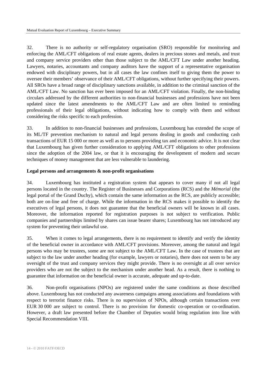32. There is no authority or self-regulatory organisation (SRO) responsible for monitoring and enforcing the AML/CFT obligations of real estate agents, dealers in precious stones and metals, and trust and company service providers other than those subject to the AML/CFT Law under another heading. Lawyers, notaries, accountants and company auditors have the support of a representative organisation endowed with disciplinary powers, but in all cases the law confines itself to giving them the power to oversee their members' observance of their AML/CFT obligations, without further specifying their powers. All SROs have a broad range of disciplinary sanctions available, in addition to the criminal sanction of the AML/CFT Law. No sanction has ever been imposed for an AML/CFT violation. Finally, the non-binding circulars addressed by the different authorities to non-financial businesses and professions have not been updated since the latest amendments to the AML/CFT Law and are often limited to reminding professionals of their legal obligations, without indicating how to comply with them and without considering the risks specific to each profession.

33. In addition to non-financial businesses and professions, Luxembourg has extended the scope of its ML/TF prevention mechanism to natural and legal persons dealing in goods and conducting cash transactions of EUR 15 000 or more as well as to persons providing tax and economic advice. It is not clear that Luxembourg has given further consideration to applying AML/CFT obligations to other professions since the adoption of the 2004 law, or that it is encouraging the development of modern and secure techniques of money management that are less vulnerable to laundering.

#### **Legal persons and arrangements & non-profit organisations**

34. Luxembourg has instituted a registration system that appears to cover many if not all legal persons located in the country. The Register of Businesses and Corporations (RCS) and the *Mémorial* (the legal portal of the Grand Duchy), which contain the same information as the RCS, are publicly accessible; both are on-line and free of charge. While the information in the RCS makes it possible to identify the executives of legal persons, it does not guarantee that the beneficial owners will be known in all cases. Moreover, the information reported for registration purposes is not subject to verification. Public companies and partnerships limited by shares can issue bearer shares; Luxembourg has not introduced any system for preventing their unlawful use.

35. When it comes to legal arrangements, there is no requirement to identify and verify the identity of the beneficial owner in accordance with AML/CFT provisions. Moreover, among the natural and legal persons who may be trustees, some are not subject to the AML/CFT Law. In the case of trustees that are subject to the law under another heading (for example, lawyers or notaries), there does not seem to be any oversight of the trust and company services they might provide. There is no oversight at all over service providers who are not the subject to the mechanism under another head. As a result, there is nothing to guarantee that information on the beneficial owner is accurate, adequate and up-to-date.

36. Non-profit organisations (NPOs) are registered under the same conditions as those described above. Luxembourg has not conducted any awareness campaigns among associations and foundations with respect to terrorist finance risks. There is no supervision of NPOs, although certain transactions over EUR 30 000 are subject to control. There is no provision for domestic co-operation or co-ordination. However, a draft law presented before the Chamber of Deputies would bring regulation into line with Special Recommendation VIII.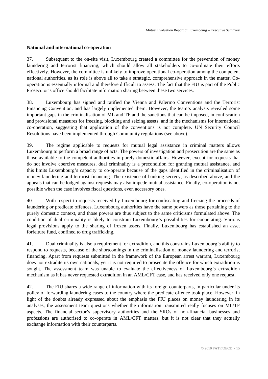#### **National and international co-operation**

37. Subsequent to the on-site visit, Luxembourg created a committee for the prevention of money laundering and terrorist financing, which should allow all stakeholders to co-ordinate their efforts effectively. However, the committee is unlikely to improve operational co-operation among the competent national authorities, as its role is above all to take a strategic, comprehensive approach in the matter. Cooperation is essentially informal and therefore difficult to assess. The fact that the FIU is part of the Public Prosecutor's office should facilitate information sharing between these two services.

38. Luxembourg has signed and ratified the Vienna and Palermo Conventions and the Terrorist Financing Convention, and has largely implemented them. However, the team's analysis revealed some important gaps in the criminalisation of ML and TF and the sanctions that can be imposed, in confiscation and provisional measures for freezing, blocking and seizing assets, and in the mechanisms for international co-operation, suggesting that application of the conventions is not complete. UN Security Council Resolutions have been implemented through Community regulations (see above).

39. The regime applicable to requests for mutual legal assistance in criminal matters allows Luxembourg to perform a broad range of acts. The powers of investigation and prosecution are the same as those available to the competent authorities in purely domestic affairs. However, except for requests that do not involve coercive measures, dual criminality is a precondition for granting mutual assistance, and this limits Luxembourg's capacity to co-operate because of the gaps identified in the criminalisation of money laundering and terrorist financing. The existence of banking secrecy, as described above, and the appeals that can be lodged against requests may also impede mutual assistance. Finally, co-operation is not possible when the case involves fiscal questions, even accessory ones.

40. With respect to requests received by Luxembourg for confiscating and freezing the proceeds of laundering or predicate offences, Luxembourg authorities have the same powers as those pertaining to the purely domestic context, and those powers are thus subject to the same criticisms formulated above. The condition of dual criminality is likely to constrain Luxembourg's possibilities for cooperating. Various legal provisions apply to the sharing of frozen assets. Finally, Luxembourg has established an asset forfeiture fund, confined to drug trafficking.

41. Dual criminality is also a requirement for extradition, and this constrains Luxembourg's ability to respond to requests, because of the shortcomings in the criminalisation of money laundering and terrorist financing. Apart from requests submitted in the framework of the European arrest warrant, Luxembourg does not extradite its own nationals, yet it is not required to prosecute the offence for which extradition is sought. The assessment team was unable to evaluate the effectiveness of Luxembourg's extradition mechanism as it has never requested extradition in an AML/CFT case, and has received only one request.

42. The FIU shares a wide range of information with its foreign counterparts, in particular under its policy of forwarding laundering cases to the country where the predicate offence took place. However, in light of the doubts already expressed about the emphasis the FIU places on money laundering in its analyses, the assessment team questions whether the information transmitted really focuses on ML/TF aspects. The financial sector's supervisory authorities and the SROs of non-financial businesses and professions are authorised to co-operate in AML/CFT matters, but it is not clear that they actually exchange information with their counterparts.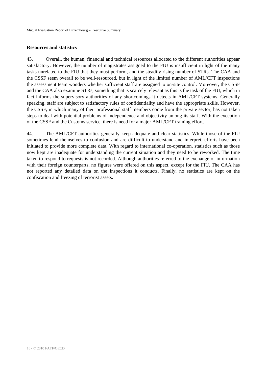#### **Resources and statistics**

43. Overall, the human, financial and technical resources allocated to the different authorities appear satisfactory. However, the number of magistrates assigned to the FIU is insufficient in light of the many tasks unrelated to the FIU that they must perform, and the steadily rising number of STRs. The CAA and the CSSF seem overall to be well-resourced, but in light of the limited number of AML/CFT inspections the assessment team wonders whether sufficient staff are assigned to on-site control. Moreover, the CSSF and the CAA also examine STRs, something that is scarcely relevant as this is the task of the FIU, which in fact informs the supervisory authorities of any shortcomings it detects in AML/CFT systems. Generally speaking, staff are subject to satisfactory rules of confidentiality and have the appropriate skills. However, the CSSF, in which many of their professional staff members come from the private sector, has not taken steps to deal with potential problems of independence and objectivity among its staff. With the exception of the CSSF and the Customs service, there is need for a major AML/CFT training effort.

44. The AML/CFT authorities generally keep adequate and clear statistics. While those of the FIU sometimes lend themselves to confusion and are difficult to understand and interpret, efforts have been initiated to provide more complete data. With regard to international co-operation, statistics such as those now kept are inadequate for understanding the current situation and they need to be reworked. The time taken to respond to requests is not recorded. Although authorities referred to the exchange of information with their foreign counterparts, no figures were offered on this aspect, except for the FIU. The CAA has not reported any detailed data on the inspections it conducts. Finally, no statistics are kept on the confiscation and freezing of terrorist assets.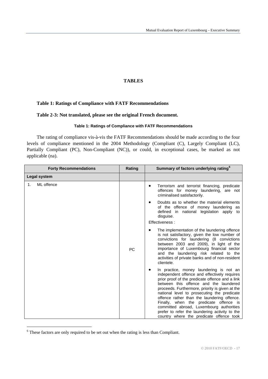# **TABLES**

# <span id="page-16-0"></span>**Table 1: Ratings of Compliance with FATF Recommendations**

## **Table 2-3: Not translated, please see the original French document.**

#### **Table 1: Ratings of Compliance with FATF Recommendations**

The rating of compliance vis-à-vis the FATF Recommendations should be made according to the four levels of compliance mentioned in the 2004 Methodology (Compliant (C), Largely Compliant (LC), Partially Compliant (PC), Non-Compliant (NC)), or could, in exceptional cases, be marked as not applicable (na).

| <b>Forty Recommendations</b> | Rating    | Summary of factors underlying rating <sup>6</sup>                                                                                                                                                                                                                                                                                                                                                                                                                                                                         |
|------------------------------|-----------|---------------------------------------------------------------------------------------------------------------------------------------------------------------------------------------------------------------------------------------------------------------------------------------------------------------------------------------------------------------------------------------------------------------------------------------------------------------------------------------------------------------------------|
| <b>Legal system</b>          |           |                                                                                                                                                                                                                                                                                                                                                                                                                                                                                                                           |
| ML offence<br>1.             |           | Terrorism and terrorist financing, predicate<br>offences for money laundering, are not<br>criminalised satisfactorily.                                                                                                                                                                                                                                                                                                                                                                                                    |
|                              |           | Doubts as to whether the material elements<br>of the offence of money laundering as<br>defined in national legislation apply to<br>disquise.<br>Effectiveness:                                                                                                                                                                                                                                                                                                                                                            |
|                              |           |                                                                                                                                                                                                                                                                                                                                                                                                                                                                                                                           |
|                              | <b>PC</b> | The implementation of the laundering offence<br>is not satisfactory, given the low number of<br>convictions for laundering (8 convictions<br>between 2003 and 2009), in light of the<br>importance of Luxembourg financial sector<br>and the laundering risk related to the<br>activities of private banks and of non-resident<br>clientele.                                                                                                                                                                              |
|                              |           | In practice, money laundering is not an<br>independent offence and effectively requires<br>prior proof of the predicate offence and a link<br>between this offence and the laundered<br>proceeds. Furthermore, priority is given at the<br>national level to prosecuting the predicate<br>offence rather than the laundering offence.<br>Finally, when the predicate offence is<br>committed abroad, Luxembourg authorities<br>prefer to refer the laundering activity to the<br>country where the predicate offence took |

 $6$  These factors are only required to be set out when the rating is less than Compliant.

1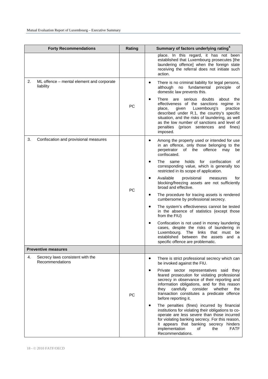| <b>Forty Recommendations</b>                                 | Rating    | Summary of factors underlying rating <sup>6</sup>                                                                                                                                                                                                                                                                                                                                                                                                                                                                                                                                                                                                                                                                                                                                                                                                                                         |
|--------------------------------------------------------------|-----------|-------------------------------------------------------------------------------------------------------------------------------------------------------------------------------------------------------------------------------------------------------------------------------------------------------------------------------------------------------------------------------------------------------------------------------------------------------------------------------------------------------------------------------------------------------------------------------------------------------------------------------------------------------------------------------------------------------------------------------------------------------------------------------------------------------------------------------------------------------------------------------------------|
|                                                              |           | place. In this regard, it has not been<br>established that Luxembourg prosecutes [the<br>laundering offence] when the foreign state<br>receiving the referral does not initiate such<br>action.                                                                                                                                                                                                                                                                                                                                                                                                                                                                                                                                                                                                                                                                                           |
| ML offence - mental element and corporate<br>2.<br>liability | <b>PC</b> | $\bullet$<br>There is no criminal liability for legal persons,<br>fundamental<br>although<br>no<br>principle<br>of<br>domestic law prevents this.<br>There<br>serious<br>are<br>doubts<br>about<br>the<br>effectiveness of the sanctions regime in<br>Luxembourg's<br>place,<br>given<br>practice<br>described under R.1, the country's specific<br>situation, and the risks of laundering, as well<br>as the low number of sanctions and level of<br>penalties<br>(prison sentences<br>and<br>fines)<br>imposed.                                                                                                                                                                                                                                                                                                                                                                         |
| 3.<br>Confiscation and provisional measures                  | PC        | Among the property used or intended for use<br>٠<br>in an offence, only those belonging to the<br>perpetrator of the offence<br>may<br>be<br>confiscated.<br>The<br>holds<br>confiscation<br>same<br>for<br>οf<br>corresponding value, which is generally too<br>restricted in its scope of application.<br>Available<br>provisional<br>for<br>measures<br>blocking/freezing assets are not sufficiently<br>broad and effective.<br>The procedure for tracing assets is rendered<br>cumbersome by professional secrecy.<br>The system's effectiveness cannot be tested<br>٠<br>in the absence of statistics (except those<br>from the FIU)<br>Confiscation is not used in money laundering<br>$\bullet$<br>cases, despite the risks of laundering in<br>Luxembourg.<br>links<br>that<br>The<br>must<br>be<br>established between the assets<br>and a<br>specific offence are problematic. |
| <b>Preventive measures</b>                                   |           |                                                                                                                                                                                                                                                                                                                                                                                                                                                                                                                                                                                                                                                                                                                                                                                                                                                                                           |
| 4.<br>Secrecy laws consistent with the<br>Recommendations    | PC        | There is strict professional secrecy which can<br>٠<br>be invoked against the FIU.<br>Private sector representatives said they<br>$\bullet$<br>feared prosecution for violating professional<br>secrecy in observance of their reporting and<br>information obligations, and for this reason<br>carefully<br>consider<br>whether<br>they<br>the<br>transaction constitutes a predicate offence<br>before reporting it.<br>The penalties (fines) incurred by financial<br>institutions for violating their obligations to co-<br>operate are less severe than those incurred<br>for violating banking secrecy. For this reason,<br>it appears that banking secrecy hinders<br>implementation<br><b>FATF</b><br>οf<br>the<br>Recommendations.                                                                                                                                               |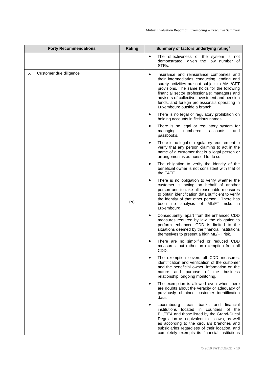| <b>Forty Recommendations</b> | Rating | Summary of factors underlying rating <sup>6</sup>                                                                                                                                                                                                                                                                                                                                     |
|------------------------------|--------|---------------------------------------------------------------------------------------------------------------------------------------------------------------------------------------------------------------------------------------------------------------------------------------------------------------------------------------------------------------------------------------|
|                              |        | $\bullet$<br>The effectiveness of the system is not<br>demonstrated, given the low number of<br>STRs.                                                                                                                                                                                                                                                                                 |
| 5.<br>Customer due diligence |        | Insurance and reinsurance companies and<br>$\bullet$<br>their intermediaries conducting lending and<br>surety activities are not subject to AML/CFT<br>provisions. The same holds for the following<br>financial sector professionals: managers and<br>advisers of collective investment and pension<br>funds, and foreign professionals operating in<br>Luxembourg outside a branch. |
|                              |        | There is no legal or regulatory prohibition on<br>holding accounts in fictitious names.                                                                                                                                                                                                                                                                                               |
|                              |        | There is no legal or regulatory system for<br>managing<br>numbered<br>accounts<br>and<br>passbooks.                                                                                                                                                                                                                                                                                   |
|                              |        | There is no legal or regulatory requirement to<br>$\bullet$<br>verify that any person claiming to act in the<br>name of a customer that is a legal person or<br>arrangement is authorised to do so.                                                                                                                                                                                   |
|                              |        | The obligation to verify the identity of the<br>beneficial owner is not consistent with that of<br>the FATF.                                                                                                                                                                                                                                                                          |
|                              | PC     | There is no obligation to verify whether the<br>customer is acting on behalf of another<br>person and to take all reasonable measures<br>to obtain identification data sufficient to verify<br>the identity of that other person. There has<br>been no analysis of ML/FT risks in<br>Luxembourg.                                                                                      |
|                              |        | Consequently, apart from the enhanced CDD<br>measures required by law, the obligation to<br>perform enhanced CDD is limited to the<br>situations deemed by the financial institutions<br>themselves to present a high ML/FT risk.                                                                                                                                                     |
|                              |        | There are no simplified or reduced CDD<br>measures, but rather an exemption from all<br>CDD.                                                                                                                                                                                                                                                                                          |
|                              |        | The exemption covers all CDD measures:<br>identification and verification of the customer<br>and the beneficial owner, information on the<br>nature and purpose of the business<br>relationship, ongoing monitoring.                                                                                                                                                                  |
|                              |        | The exemption is allowed even when there<br>are doubts about the veracity or adequacy of<br>previously obtained customer identification<br>data.                                                                                                                                                                                                                                      |
|                              |        | Luxembourg treats<br>banks and financial<br>institutions located<br>in countries of the<br>EU/EEA and those listed by the Grand-Ducal<br>Regulation as equivalent to its own, as well<br>as according to the circulars branches and<br>subsidiaries regardless of their location, and<br>completely exempts its financial institutions                                                |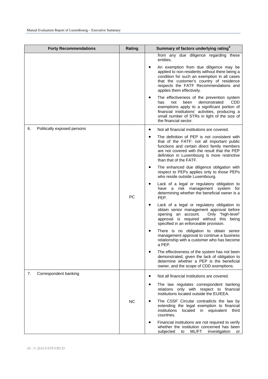| <b>Forty Recommendations</b>      | Rating    | Summary of factors underlying rating <sup>6</sup>                                                                                                                                                                                                                                                                                                                                                                                                                                                                                                                 |
|-----------------------------------|-----------|-------------------------------------------------------------------------------------------------------------------------------------------------------------------------------------------------------------------------------------------------------------------------------------------------------------------------------------------------------------------------------------------------------------------------------------------------------------------------------------------------------------------------------------------------------------------|
|                                   |           | from any due diligence regarding these<br>entities.<br>An exemption from due diligence may be<br>applied to non-residents without there being a<br>condition for such an exemption in all cases<br>that the customer's country of residence<br>respects the FATF Recommendations and<br>applies them effectively.<br>The effectiveness of the prevention system<br>demonstrated:<br>CDD.<br>has<br>not<br>been<br>exemptions apply to a significant portion of<br>financial institutions' activities, producing a<br>small number of STRs in light of the size of |
|                                   |           | the financial sector.                                                                                                                                                                                                                                                                                                                                                                                                                                                                                                                                             |
| Politically exposed persons<br>6. |           | Not all financial institutions are covered.<br>The definition of PEP is not consistent with<br>$\bullet$<br>that of the FATF: not all important public<br>functions and certain direct family members<br>are not covered with the result that the PEP<br>definition in Luxembourg is more restrictive<br>than that of the FATF.                                                                                                                                                                                                                                   |
|                                   |           | The enhanced due diligence obligation with<br>respect to PEPs applies only to those PEPs<br>who reside outside Luxembourg.                                                                                                                                                                                                                                                                                                                                                                                                                                        |
|                                   | PC        | Lack of a legal or regulatory obligation to<br>have a risk management system for<br>determining whether the beneficial owner is a<br>PEP.                                                                                                                                                                                                                                                                                                                                                                                                                         |
|                                   |           | Lack of a legal or regulatory obligation to<br>obtain senior management approval before<br>Only "high-level"<br>opening an account.<br>approval is required without this being<br>specified in an enforceable provision.                                                                                                                                                                                                                                                                                                                                          |
|                                   |           | There is no obligation to obtain senior<br>management approval to continue a business<br>relationship with a customer who has become<br>a PEP.                                                                                                                                                                                                                                                                                                                                                                                                                    |
|                                   |           | The effectiveness of the system has not been<br>demonstrated, given the lack of obligation to<br>determine whether a PEP is the beneficial<br>owner, and the scope of CDD exemptions.                                                                                                                                                                                                                                                                                                                                                                             |
| 7.<br>Correspondent banking       |           | Not all financial institutions are covered.                                                                                                                                                                                                                                                                                                                                                                                                                                                                                                                       |
|                                   |           | The law regulates correspondent banking<br>relations only with respect to financial<br>institutions located outside the EU/EEA.                                                                                                                                                                                                                                                                                                                                                                                                                                   |
|                                   | <b>NC</b> | The CSSF Circular contradicts the law by<br>extending the legal exemption to financial<br>institutions<br>equivalent<br>located<br>in<br>third<br>countries.                                                                                                                                                                                                                                                                                                                                                                                                      |
|                                   |           | Financial institutions are not required to verify<br>whether the institution concerned has been<br>subjected<br>ML/FT<br>to<br>investigation<br>or                                                                                                                                                                                                                                                                                                                                                                                                                |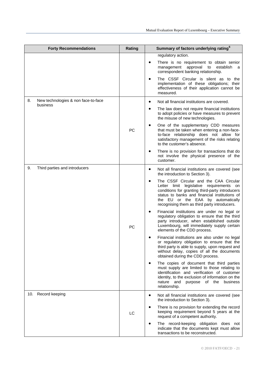| <b>Forty Recommendations</b>              | Rating | Summary of factors underlying rating <sup>6</sup>                                                                                                                                                                                                                            |
|-------------------------------------------|--------|------------------------------------------------------------------------------------------------------------------------------------------------------------------------------------------------------------------------------------------------------------------------------|
|                                           |        | regulatory action.                                                                                                                                                                                                                                                           |
|                                           |        | There is no requirement to obtain senior<br>approval<br>establish<br>management<br>to<br>correspondent banking relationship.                                                                                                                                                 |
|                                           |        | The CSSF Circular is silent as to the<br>implementation of these obligations; their<br>effectiveness of their application cannot be<br>measured.                                                                                                                             |
| New technologies & non face-to-face<br>8. |        | Not all financial institutions are covered.<br>٠                                                                                                                                                                                                                             |
| business                                  |        | The law does not require financial institutions<br>to adopt policies or have measures to prevent<br>the misuse of new technologies.                                                                                                                                          |
|                                           | PC     | One of the supplementary CDD measures<br>that must be taken when entering a non-face-<br>to-face relationship does not allow for<br>satisfactory management of the risks relating<br>to the customer's absence.                                                              |
|                                           |        | There is no provision for transactions that do<br>not involve the physical presence of the<br>customer.                                                                                                                                                                      |
| Third parties and introducers<br>9.       |        | Not all financial institutions are covered (see<br>٠<br>the introduction to Section 3).                                                                                                                                                                                      |
|                                           |        | The CSSF Circular and the CAA Circular<br>Letter limit legislative requirements on<br>conditions for granting third-party introducers<br>status to banks and financial institutions of<br>the EU or the EAA by automatically<br>recognising them as third party introducers. |
|                                           | PC     | Financial institutions are under no legal or<br>regulatory obligation to ensure that the third<br>party introducer, when established outside<br>Luxembourg, will immediately supply certain<br>elements of the CDD process.                                                  |
|                                           |        | Financial institutions are also under no legal<br>or regulatory obligation to ensure that the<br>third party is able to supply, upon request and<br>without delay, copies of all the documents<br>obtained during the CDD process.                                           |
|                                           |        | The copies of document that third parties<br>must supply are limited to those relating to<br>identification and verification of customer<br>identity, to the exclusion of information on the<br>nature and<br>purpose of the<br>business<br>relationship.                    |
| 10. Record keeping                        |        | Not all financial institutions are covered (see<br>$\bullet$<br>the introduction to Section 3).                                                                                                                                                                              |
|                                           | LC     | There is no provision for extending the record<br>$\bullet$<br>keeping requirement beyond 5 years at the<br>request of a competent authority.                                                                                                                                |
|                                           |        | The record-keeping obligation does not<br>٠<br>indicate that the documents kept must allow<br>transactions to be reconstructed.                                                                                                                                              |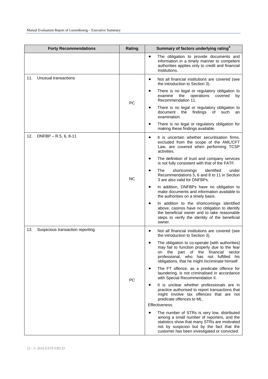| <b>Forty Recommendations</b>            | Rating    | Summary of factors underlying rating <sup>6</sup>                                                                                                                                                                                                             |
|-----------------------------------------|-----------|---------------------------------------------------------------------------------------------------------------------------------------------------------------------------------------------------------------------------------------------------------------|
|                                         |           | The obligation to provide documents and<br>$\bullet$<br>information in a timely manner to competent<br>authorities applies only to credit and financial<br>institutions.                                                                                      |
| Unusual transactions<br>11.             |           | Not all financial institutions are covered (see<br>the introduction to Section 3).                                                                                                                                                                            |
|                                         | PC        | There is no legal or regulatory obligation to<br>$\bullet$<br>the<br>operations<br>covered<br>examine<br>by<br>Recommendation 11.                                                                                                                             |
|                                         |           | There is no legal or regulatory obligation to<br>document the<br>findings<br>of<br>such<br>an<br>examination.                                                                                                                                                 |
|                                         |           | There is no legal or regulatory obligation for<br>٠<br>making these findings available.                                                                                                                                                                       |
| 12.<br>DNFBP - R.5, 6, 8-11             |           | It is uncertain whether securitisation firms,<br>$\bullet$<br>excluded from the scope of the AML/CFT<br>Law, are covered when performing TCSP<br>activities.                                                                                                  |
|                                         |           | The definition of trust and company services<br>$\bullet$<br>is not fully consistent with that of the FATF.                                                                                                                                                   |
|                                         | <b>NC</b> | The<br>shortcomings<br>identified<br>under<br>Recommendations 5, 6 and 8 to 11 in Section<br>3 are also valid for DNFBPs.                                                                                                                                     |
|                                         |           | In addition, DNFBPs have no obligation to<br>$\bullet$<br>make documents and information available to<br>the authorities on a timely basis.                                                                                                                   |
|                                         |           | In addition to the shortcomings identified<br>above, casinos have no obligation to identify<br>the beneficial owner and to take reasonable<br>steps to verify the identity of the beneficial<br>owner.                                                        |
| 13.<br>Suspicious transaction reporting |           | Not all financial institutions are covered (see<br>٠<br>the introduction to Section 3).                                                                                                                                                                       |
|                                         |           | The obligation to co-operate [with authorities]<br>may fail to function properly due to the fear<br>the<br>financial<br>the<br>part<br>of<br>sector<br>on<br>professional, who<br>has<br>not fulfilled his<br>obligations, that he might incriminate himself. |
|                                         | PC        | The FT offence, as a predicate offence for<br>$\bullet$<br>laundering, is not criminalised in accordance<br>with Special Recommendation II.                                                                                                                   |
|                                         |           | It is unclear whether professionals are in<br>practice authorised to report transactions that<br>might involve tax offences that are not<br>predicate offences to ML.                                                                                         |
|                                         |           | Effectiveness:                                                                                                                                                                                                                                                |
|                                         |           | The number of STRs is very low, distributed<br>٠<br>among a small number of reporters, and the<br>statistics show that many STRs are motivated<br>not by suspicion but by the fact that the<br>customer has been investigated or convicted.                   |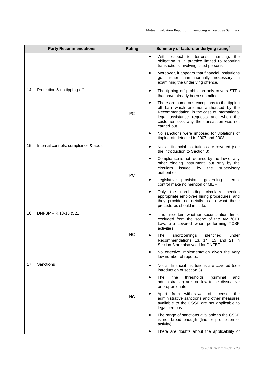| <b>Forty Recommendations</b>                 | Rating    | Summary of factors underlying rating <sup>6</sup>                                                                                                                                                                                                   |
|----------------------------------------------|-----------|-----------------------------------------------------------------------------------------------------------------------------------------------------------------------------------------------------------------------------------------------------|
|                                              |           | With respect to terrorist financing, the<br>$\bullet$<br>obligation is in practice limited to reporting<br>transactions involving listed persons.                                                                                                   |
|                                              |           | Moreover, it appears that financial institutions<br>go further than normally necessary in<br>examining the underlying offence.                                                                                                                      |
| 14.<br>Protection & no tipping-off           |           | The tipping off prohibition only covers STRs<br>٠<br>that have already been submitted.                                                                                                                                                              |
|                                              | PC        | There are numerous exceptions to the tipping<br>٠<br>off ban which are not authorised by the<br>Recommendation, in the case of international<br>legal assistance requests and when the<br>customer asks why the transaction was not<br>carried out. |
|                                              |           | No sanctions were imposed for violations of<br>tipping off detected in 2007 and 2008.                                                                                                                                                               |
| 15.<br>Internal controls, compliance & audit |           | Not all financial institutions are covered (see<br>٠<br>the introduction to Section 3).                                                                                                                                                             |
|                                              | PC        | Compliance is not required by the law or any<br>other binding instrument, but only by the<br>circulars<br>issued<br>by<br>the<br>supervisory<br>authorities.                                                                                        |
|                                              |           | Legislative provisions governing<br>internal<br>control make no mention of ML/FT.                                                                                                                                                                   |
|                                              |           | Only the non-binding circulars mention<br>appropriate employee hiring procedures, and<br>they provide no details as to what these<br>procedures should include.                                                                                     |
| 16.<br>DNFBP - R.13-15 & 21                  |           | It is uncertain whether securitisation firms,<br>$\bullet$<br>excluded from the scope of the AML/CFT<br>Law, are covered when performing TCSP<br>activities.                                                                                        |
|                                              | <b>NC</b> | The<br>shortcomings<br>identified<br>under<br>Recommendations 13, 14, 15 and 21 in<br>Section 3 are also valid for DNFBPs.                                                                                                                          |
|                                              |           | No effective implementation given the very<br>low number of reports.                                                                                                                                                                                |
| 17.<br>Sanctions                             |           | Not all financial institutions are covered (see<br>٠<br>introduction of section 3)                                                                                                                                                                  |
|                                              | <b>NC</b> | The<br>fine<br>thresholds<br>(criminal<br>$\bullet$<br>and<br>administrative) are too low to be dissuasive<br>or proportionate.                                                                                                                     |
|                                              |           | Apart from withdrawal of license, the<br>administrative sanctions and other measures<br>available to the CSSF are not applicable to<br>legal persons.                                                                                               |
|                                              |           | The range of sanctions available to the CSSF<br>$\bullet$<br>is not broad enough (fine or prohibition of<br>activity).                                                                                                                              |
|                                              |           | There are doubts about the applicability of                                                                                                                                                                                                         |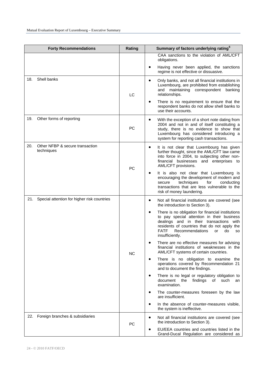|     | <b>Forty Recommendations</b>                    | Rating    | Summary of factors underlying rating <sup>6</sup>                                                                                                                                                                                                                                     |
|-----|-------------------------------------------------|-----------|---------------------------------------------------------------------------------------------------------------------------------------------------------------------------------------------------------------------------------------------------------------------------------------|
|     |                                                 |           | CAA sanctions to the violation of AML/CFT<br>obligations.                                                                                                                                                                                                                             |
|     |                                                 |           | Having never been applied, the sanctions<br>$\bullet$<br>regime is not effective or dissuasive.                                                                                                                                                                                       |
| 18. | Shell banks                                     | LC        | Only banks, and not all financial institutions in<br>$\bullet$<br>Luxembourg, are prohibited from establishing<br>maintaining<br>correspondent<br>and<br>banking<br>relationships.                                                                                                    |
|     |                                                 |           | There is no requirement to ensure that the<br>$\bullet$<br>respondent banks do not allow shell banks to<br>use their accounts.                                                                                                                                                        |
| 19. | Other forms of reporting                        | PC        | With the exception of a short note dating from<br>٠<br>2004 and not in and of itself constituting a<br>study, there is no evidence to show that<br>Luxembourg has considered introducing a<br>system for reporting cash transactions.                                                 |
| 20. | Other NFBP & secure transaction<br>techniques   | PC        | It is not clear that Luxembourg has given<br>$\bullet$<br>further thought, since the AML/CFT law came<br>into force in 2004, to subjecting other non-<br>financial businesses and enterprises to<br>AML/CFT provisions.                                                               |
|     |                                                 |           | It is also not clear that Luxembourg is<br>encouraging the development of modern and<br>techniques<br>for<br>conducting<br>secure<br>transactions that are less vulnerable to the<br>risk of money laundering.                                                                        |
|     | 21. Special attention for higher risk countries |           | Not all financial institutions are covered (see<br>٠<br>the introduction to Section 3).                                                                                                                                                                                               |
|     |                                                 |           | There is no obligation for financial institutions<br>$\bullet$<br>to pay special attention in their business<br>dealings and in their transactions with<br>residents of countries that do not apply the<br><b>FATF</b><br>Recommendations<br>do<br>or<br><b>SO</b><br>insufficiently. |
|     |                                                 | <b>NC</b> | There are no effective measures for advising<br>financial institutions of weaknesses in the<br>AML/CFT systems of certain countries.                                                                                                                                                  |
|     |                                                 |           | There is no obligation to examine the<br>operations covered by Recommendation 21<br>and to document the findings.                                                                                                                                                                     |
|     |                                                 |           | There is no legal or regulatory obligation to<br>document the<br>findings<br>of<br>such<br>an<br>examination.                                                                                                                                                                         |
|     |                                                 |           | The counter-measures foreseen by the law<br>are insufficient.                                                                                                                                                                                                                         |
|     |                                                 |           | In the absence of counter-measures visible,<br>$\bullet$<br>the system is ineffective.                                                                                                                                                                                                |
| 22. | Foreign branches & subsidiaries                 | <b>PC</b> | Not all financial institutions are covered (see<br>$\bullet$<br>the introduction to Section 3).                                                                                                                                                                                       |
|     |                                                 |           | EU/EEA countries and countries listed in the<br>Grand-Ducal Regulation are considered as                                                                                                                                                                                              |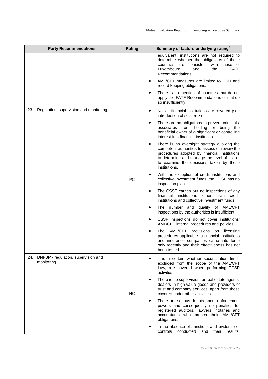| <b>Forty Recommendations</b>                             | Rating    | Summary of factors underlying rating <sup>6</sup>                                                                                                                                                                                                        |
|----------------------------------------------------------|-----------|----------------------------------------------------------------------------------------------------------------------------------------------------------------------------------------------------------------------------------------------------------|
|                                                          |           | equivalent; institutions are not required to<br>determine whether the obligations of these<br>countries are consistent with those of<br><b>FATF</b><br>Luxembourg<br>and<br>the<br>Recommendations.                                                      |
|                                                          |           | AML/CFT measures are limited to CDD and<br>record keeping obligations.                                                                                                                                                                                   |
|                                                          |           | There is no mention of countries that do not<br>apply the FATF Recommendations or that do<br>so insufficiently.                                                                                                                                          |
| Regulation, supervision and monitoring<br>23.            |           | Not all financial institutions are covered (see<br>$\bullet$<br>introduction of section 3)                                                                                                                                                               |
|                                                          |           | There are no obligations to prevent criminals'<br>$\bullet$<br>associates from holding or being the<br>beneficial owner of a significant or controlling<br>interest in a financial institution.                                                          |
|                                                          |           | There is no oversight strategy allowing the<br>competent authorities to assess or review the<br>procedures adopted by financial institutions<br>to determine and manage the level of risk or<br>to examine the decisions taken by these<br>institutions. |
|                                                          | РC        | With the exception of credit institutions and<br>collective investment funds, the CSSF has no<br>inspection plan.                                                                                                                                        |
|                                                          |           | The CSSF carries out no inspections of any<br>$\bullet$<br>financial<br>institutions<br>other than<br>credit<br>institutions and collective investment funds.                                                                                            |
|                                                          |           | The number and quality of AML/CFT<br>inspections by the authorities is insufficient.                                                                                                                                                                     |
|                                                          |           | CSSF inspections do not cover institutions'<br>$\bullet$<br>AML/CFT internal procedures and policies.                                                                                                                                                    |
|                                                          |           | The AML/CFT<br>provisions on licensing<br>procedures applicable to financial institutions<br>and insurance companies came into force<br>only recently and their effectiveness has not<br>been tested.                                                    |
| DNFBP - regulation, supervision and<br>24.<br>monitoring |           | It is uncertain whether securitisation firms,<br>$\bullet$<br>excluded from the scope of the AML/CFT<br>Law, are covered when performing TCSP<br>activities.                                                                                             |
|                                                          | <b>NC</b> | There is no supervision for real estate agents,<br>dealers in high-value goods and providers of<br>trust and company services, apart from those<br>covered under other activities.                                                                       |
|                                                          |           | There are serious doubts about enforcement<br>$\bullet$<br>powers and consequently no penalties for<br>registered auditors, lawyers, notaries and<br>accountants who breach their AML/CFT<br>obligations.                                                |
|                                                          |           | In the absence of sanctions and evidence of<br>controls<br>conducted<br>and<br>their<br>results,                                                                                                                                                         |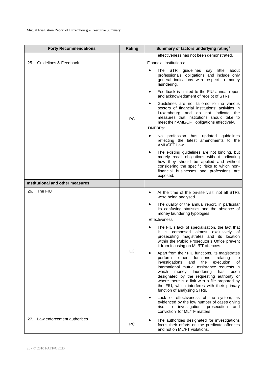| <b>Forty Recommendations</b>     | Rating    | Summary of factors underlying rating <sup>6</sup>                                                                                                                                                                                                                                                                                                                                                                                |
|----------------------------------|-----------|----------------------------------------------------------------------------------------------------------------------------------------------------------------------------------------------------------------------------------------------------------------------------------------------------------------------------------------------------------------------------------------------------------------------------------|
|                                  |           | effectiveness has not been demonstrated.                                                                                                                                                                                                                                                                                                                                                                                         |
| 25. Guidelines & Feedback        |           | <b>Financial Institutions:</b>                                                                                                                                                                                                                                                                                                                                                                                                   |
|                                  |           | STR guidelines<br>The<br>say<br>little<br>about<br>professionals' obligations and include only<br>general indications with respect to money<br>laundering.                                                                                                                                                                                                                                                                       |
|                                  |           | Feedback is limited to the FIU annual report<br>٠<br>and acknowledgment of receipt of STRs.                                                                                                                                                                                                                                                                                                                                      |
|                                  | PC        | Guidelines are not tailored to the various<br>$\bullet$<br>sectors of financial institutions' activities in<br>Luxembourg and do not indicate<br>the<br>measures that institutions should take to<br>meet their AML/CFT obligations effectively.                                                                                                                                                                                 |
|                                  |           | DNFBPs:                                                                                                                                                                                                                                                                                                                                                                                                                          |
|                                  |           | No profession has updated guidelines<br>reflecting the latest amendments to the<br>AML/CFT Law.                                                                                                                                                                                                                                                                                                                                  |
|                                  |           | The existing guidelines are not binding, but<br>merely recall obligations without indicating<br>how they should be applied and without<br>considering the specific risks to which non-<br>financial businesses and professions are<br>exposed.                                                                                                                                                                                   |
| Institutional and other measures |           |                                                                                                                                                                                                                                                                                                                                                                                                                                  |
| 26. The FIU                      |           | At the time of the on-site visit, not all STRs<br>٠<br>were being analysed.                                                                                                                                                                                                                                                                                                                                                      |
|                                  |           | The quality of the annual report, in particular<br>its confusing statistics and the absence of<br>money laundering typologies.<br>Effectiveness                                                                                                                                                                                                                                                                                  |
|                                  |           | The FIU's lack of specialisation, the fact that<br>it is composed almost exclusively of<br>prosecuting magistrates and its location<br>within the Public Prosecutor's Office prevent<br>it from focusing on ML/FT offences.                                                                                                                                                                                                      |
|                                  | LC        | Apart from their FIU functions, its magistrates<br>perform<br>other<br>functions<br>relating<br>to<br>investigations<br>and<br>the<br>execution<br>of<br>international mutual assistance requests in<br>which<br>laundering<br>money<br>has<br>been<br>designated by the requesting authority or<br>where there is a link with a file prepared by<br>the FIU, which interferes with their primary<br>function of analysing STRs. |
|                                  |           | Lack of effectiveness of the system, as<br>٠<br>evidenced by the low number of cases giving<br>to<br>investigation,<br>prosecution<br>rise<br>and<br>conviction for ML/TF matters                                                                                                                                                                                                                                                |
| 27. Law enforcement authorities  | <b>PC</b> | The authorities designated for investigations<br>٠<br>focus their efforts on the predicate offences<br>and not on ML/FT violations.                                                                                                                                                                                                                                                                                              |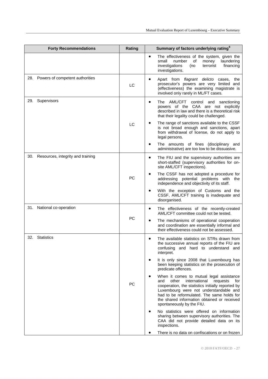| <b>Forty Recommendations</b>          | Rating    | Summary of factors underlying rating <sup>6</sup>                                                                                                                                                                                                                                                                  |
|---------------------------------------|-----------|--------------------------------------------------------------------------------------------------------------------------------------------------------------------------------------------------------------------------------------------------------------------------------------------------------------------|
|                                       |           | The effectiveness of the system, given the<br>$\bullet$<br>small<br>number<br>of<br>money<br>laundering<br>investigations<br>financing<br>(no<br>terrorist<br>investigations.                                                                                                                                      |
| 28. Powers of competent authorities   | LC        | Apart from flagrant delicto cases,<br>$\bullet$<br>the<br>prosecutor's powers are very limited and<br>(effectiveness) the examining magistrate is<br>involved only rarely in ML/FT cases.                                                                                                                          |
| 29.<br>Supervisors                    |           | The AML/CFT<br>control<br>$\bullet$<br>and<br>sanctioning<br>powers of the CAA are not explicitly<br>described in law and there is a theoretical risk<br>that their legality could be challenged.                                                                                                                  |
|                                       | LC        | The range of sanctions available to the CSSF<br>is not broad enough and sanctions, apart<br>from withdrawal of license, do not apply to<br>legal persons.                                                                                                                                                          |
|                                       |           | The amounts of fines (disciplinary and<br>administrative) are too low to be dissuasive.                                                                                                                                                                                                                            |
| 30. Resources, integrity and training |           | The FIU and the supervisory authorities are<br>$\bullet$<br>short-staffed (supervisory authorities for on-<br>site AML/CFT inspections).                                                                                                                                                                           |
|                                       | <b>PC</b> | The CSSF has not adopted a procedure for<br>addressing potential problems with the<br>independence and objectivity of its staff.                                                                                                                                                                                   |
|                                       |           | With the exception of Customs and the<br>CSSF, AML/CFT training is inadequate and<br>disorganised.                                                                                                                                                                                                                 |
| 31.<br>National co-operation          |           | The effectiveness of the recently-created<br>$\bullet$<br>AML/CFT committee could not be tested.                                                                                                                                                                                                                   |
|                                       | PC        | The mechanisms of operational cooperation<br>$\bullet$<br>and coordination are essentially informal and<br>their effectiveness could not be assessed.                                                                                                                                                              |
| 32.<br><b>Statistics</b>              |           | The available statistics on STRs drawn from<br>the successive annual reports of the FIU are<br>confusing and hard to understand and<br>interpret.                                                                                                                                                                  |
|                                       |           | It is only since 2008 that Luxembourg has<br>been keeping statistics on the prosecution of<br>predicate offences.                                                                                                                                                                                                  |
|                                       | <b>PC</b> | When it comes to mutual legal assistance<br>other international<br>and<br>requests<br>for<br>cooperation, the statistics initially reported by<br>Luxembourg were not understandable and<br>had to be reformulated. The same holds for<br>the shared information obtained or received<br>spontaneously by the FIU. |
|                                       |           | No statistics were offered on information<br>sharing between supervisory authorities. The<br>CAA did not provide detailed data on its<br>inspections.                                                                                                                                                              |
|                                       |           | There is no data on confiscations or on frozen                                                                                                                                                                                                                                                                     |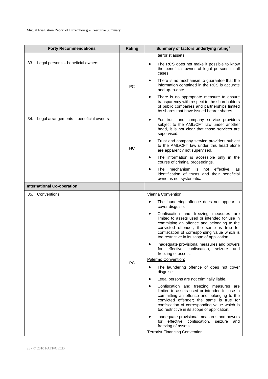| <b>Forty Recommendations</b>               | Rating    | Summary of factors underlying rating <sup>6</sup>                                                                                                                                                                                                                                      |
|--------------------------------------------|-----------|----------------------------------------------------------------------------------------------------------------------------------------------------------------------------------------------------------------------------------------------------------------------------------------|
|                                            |           | terrorist assets.                                                                                                                                                                                                                                                                      |
| 33. Legal persons - beneficial owners      |           | The RCS does not make it possible to know<br>the beneficial owner of legal persons in all<br>cases.                                                                                                                                                                                    |
|                                            | PC        | There is no mechanism to guarantee that the<br>information contained in the RCS is accurate<br>and up-to-date.                                                                                                                                                                         |
|                                            |           | There is no appropriate measure to ensure<br>transparency with respect to the shareholders<br>of public companies and partnerships limited<br>by shares that have issued bearer shares.                                                                                                |
| 34. Legal arrangements - beneficial owners |           | For trust and company service providers<br>$\bullet$<br>subject to the AML/CFT law under another<br>head, it is not clear that those services are<br>supervised.                                                                                                                       |
|                                            | <b>NC</b> | Trust and company service providers subject<br>to the AML/CFT law under this head alone<br>are apparently not supervised.                                                                                                                                                              |
|                                            |           | The information is accessible only in the<br>٠<br>course of criminal proceedings.                                                                                                                                                                                                      |
|                                            |           | mechanism is<br>not effective,<br>The<br>as<br>identification of trusts and their beneficial<br>owner is not systematic.                                                                                                                                                               |
| <b>International Co-operation</b>          |           |                                                                                                                                                                                                                                                                                        |
| 35. Conventions                            |           | Vienna Convention:                                                                                                                                                                                                                                                                     |
|                                            |           | The laundering offence does not appear to<br>٠<br>cover disguise.                                                                                                                                                                                                                      |
|                                            |           | Confiscation and freezing measures are<br>٠<br>limited to assets used or intended for use in<br>committing an offence and belonging to the<br>convicted offender; the same is true for<br>confiscation of corresponding value which is<br>too restrictive in its scope of application. |
|                                            |           | Inadequate provisional measures and powers<br>for effective confiscation, seizure and<br>freezing of assets.                                                                                                                                                                           |
|                                            | PC        | Palermo Convention:                                                                                                                                                                                                                                                                    |
|                                            |           | The laundering offence of does not cover<br>disguise.                                                                                                                                                                                                                                  |
|                                            |           | Legal persons are not criminally liable.<br>٠                                                                                                                                                                                                                                          |
|                                            |           | Confiscation and freezing measures are<br>limited to assets used or intended for use in<br>committing an offence and belonging to the<br>convicted offender; the same is true for<br>confiscation of corresponding value which is<br>too restrictive in its scope of application.      |
|                                            |           | Inadequate provisional measures and powers<br>effective confiscation,<br>for<br>seizure and<br>freezing of assets.                                                                                                                                                                     |
|                                            |           | <b>Terrorist Financing Convention:</b>                                                                                                                                                                                                                                                 |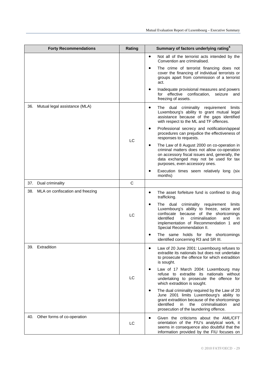|     | <b>Forty Recommendations</b>         | Rating       | Summary of factors underlying rating <sup>6</sup>                                                                                                                                                                                                                           |
|-----|--------------------------------------|--------------|-----------------------------------------------------------------------------------------------------------------------------------------------------------------------------------------------------------------------------------------------------------------------------|
|     |                                      |              | Not all of the terrorist acts intended by the<br>$\bullet$<br>Convention are criminalised.                                                                                                                                                                                  |
|     |                                      |              | The crime of terrorist financing does not<br>$\bullet$<br>cover the financing of individual terrorists or<br>groups apart from commission of a terrorist<br>act.                                                                                                            |
|     |                                      |              | Inadequate provisional measures and powers<br>for effective confiscation,<br>seizure<br>and<br>freezing of assets.                                                                                                                                                          |
|     | 36. Mutual legal assistance (MLA)    |              | The dual criminality<br>requirement<br>limits<br>٠<br>Luxembourg's ability to grant mutual legal<br>assistance because of the gaps identified<br>with respect to the ML and TF offences.                                                                                    |
|     |                                      | LC           | Professional secrecy and notification/appeal<br>٠<br>procedures can prejudice the effectiveness of<br>responses to requests.                                                                                                                                                |
|     |                                      |              | The Law of 8 August 2000 on co-operation in<br>٠<br>criminal matters does not allow co-operation<br>on accessory fiscal issues and, generally, the<br>data exchanged may not be used for tax<br>purposes, even accessory ones.                                              |
|     |                                      |              | Execution times seem relatively long (six<br>months)                                                                                                                                                                                                                        |
| 37. | Dual criminality                     | $\mathsf{C}$ |                                                                                                                                                                                                                                                                             |
|     | 38. MLA on confiscation and freezing | LC           | The asset forfeiture fund is confined to drug<br>$\bullet$<br>trafficking.                                                                                                                                                                                                  |
|     |                                      |              | The dual criminality requirement<br>limits<br>$\bullet$<br>Luxembourg's ability to freeze, seize and<br>confiscate because of the shortcomings<br>identified<br>in<br>criminalisation<br>and<br>in.<br>implementation of Recommendation 1 and<br>Special Recommendation II. |
|     |                                      |              | The same holds for the shortcomings<br>identified concerning R3 and SR III.                                                                                                                                                                                                 |
| 39. | Extradition                          | LC           | Law of 20 June 2001: Luxembourg refuses to<br>extradite its nationals but does not undertake<br>to prosecute the offence for which extradition<br>is sought.                                                                                                                |
|     |                                      |              | Law of 17 March 2004: Luxembourg may<br>$\bullet$<br>refuse to extradite its nationals without<br>undertaking to prosecute the offence for<br>which extradition is sought.                                                                                                  |
|     |                                      |              | The dual criminality required by the Law of 20<br>June 2001 limits Luxembourg's ability to<br>grant extradition because of the shortcomings<br>identified<br>in<br>the<br>criminalisation<br>and<br>prosecution of the laundering offence.                                  |
| 40. | Other forms of co-operation          | LC           | Given the criticisms about the AML/CFT<br>$\bullet$<br>orientation of the FIU's analytical work, it<br>seems in consequence also doubtful that the<br>information provided by the FIU focuses on                                                                            |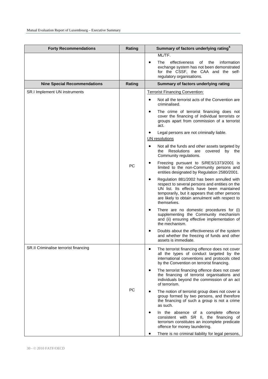| Rating    | Summary of factors underlying rating <sup>6</sup>                                                                                                                                                                                                                                                                                                                                                                                                                                                                                                                                                                                                                                                                                                                                                                                                                                                                                                                                                                                                                                                                                                       |
|-----------|---------------------------------------------------------------------------------------------------------------------------------------------------------------------------------------------------------------------------------------------------------------------------------------------------------------------------------------------------------------------------------------------------------------------------------------------------------------------------------------------------------------------------------------------------------------------------------------------------------------------------------------------------------------------------------------------------------------------------------------------------------------------------------------------------------------------------------------------------------------------------------------------------------------------------------------------------------------------------------------------------------------------------------------------------------------------------------------------------------------------------------------------------------|
|           | ML/TF.<br>The<br>effectiveness<br>of the<br>information<br>exchange system has not been demonstrated<br>for the CSSF, the CAA and the self-<br>regulatory organisations.                                                                                                                                                                                                                                                                                                                                                                                                                                                                                                                                                                                                                                                                                                                                                                                                                                                                                                                                                                                |
| Rating    | Summary of factors underlying rating                                                                                                                                                                                                                                                                                                                                                                                                                                                                                                                                                                                                                                                                                                                                                                                                                                                                                                                                                                                                                                                                                                                    |
| PC        | <b>Terrorist Financing Convention:</b><br>Not all the terrorist acts of the Convention are<br>$\bullet$<br>criminalised.<br>The crime of terrorist financing does not<br>$\bullet$<br>cover the financing of individual terrorists or<br>groups apart from commission of a terrorist<br>act.<br>Legal persons are not criminally liable.<br>UN resolutions<br>Not all the funds and other assets targeted by<br>Resolutions are covered by the<br>the<br>Community regulations.<br>Freezing pursuant to S/RES/1373/2001 is<br>limited to the non-Community persons and<br>entities designated by Regulation 2580/2001.<br>Regulation 881/2002 has been annulled with<br>respect to several persons and entities on the<br>UN list. Its effects have been maintained<br>temporarily, but it appears that other persons<br>are likely to obtain annulment with respect to<br>themselves.<br>There are no domestic procedures for (i)<br>٠<br>supplementing the Community mechanism<br>and (ii) ensuring effective implementation of<br>the mechanism.<br>Doubts about the effectiveness of the system<br>٠<br>and whether the freezing of funds and other |
|           | assets is immediate.<br>The terrorist financing offence does not cover<br>all the types of conduct targeted by the                                                                                                                                                                                                                                                                                                                                                                                                                                                                                                                                                                                                                                                                                                                                                                                                                                                                                                                                                                                                                                      |
| <b>PC</b> | international conventions and protocols cited<br>by the Convention on terrorist financing.<br>The terrorist financing offence does not cover<br>$\bullet$<br>the financing of terrorist organisations and<br>individuals beyond the commission of an act<br>of terrorism.<br>The notion of terrorist group does not cover a<br>group formed by two persons, and therefore<br>the financing of such a group is not a crime<br>as such.<br>In the absence of a complete offence<br>٠<br>consistent with SR II, the financing of<br>terrorism constitutes an incomplete predicate<br>offence for money laundering.<br>There is no criminal liability for legal persons,                                                                                                                                                                                                                                                                                                                                                                                                                                                                                    |
|           |                                                                                                                                                                                                                                                                                                                                                                                                                                                                                                                                                                                                                                                                                                                                                                                                                                                                                                                                                                                                                                                                                                                                                         |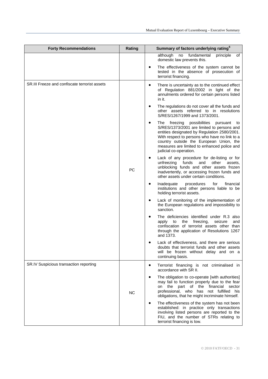| <b>Forty Recommendations</b>                  | Rating    | Summary of factors underlying rating <sup>6</sup>                                                                                                                                                                                                                                                              |
|-----------------------------------------------|-----------|----------------------------------------------------------------------------------------------------------------------------------------------------------------------------------------------------------------------------------------------------------------------------------------------------------------|
|                                               |           | although<br>fundamental<br>no<br>principle<br>of<br>domestic law prevents this.                                                                                                                                                                                                                                |
|                                               |           | The effectiveness of the system cannot be<br>tested in the absence of prosecution of<br>terrorist financing.                                                                                                                                                                                                   |
| SR.III Freeze and confiscate terrorist assets |           | There is uncertainty as to the continued effect<br>$\bullet$<br>of Regulation 881/2002 in light of the<br>annulments ordered for certain persons listed<br>in it.                                                                                                                                              |
|                                               |           | The regulations do not cover all the funds and<br>$\bullet$<br>other assets referred to in resolutions<br>S/RES/1267/1999 and 1373/2001.                                                                                                                                                                       |
|                                               |           | The freezing possibilities pursuant to<br>٠<br>S/RES/1373/2001 are limited to persons and<br>entities designated by Regulation 2580/2001.<br>With respect to persons who have no link to a<br>country outside the European Union, the<br>measures are limited to enhanced police and<br>judicial co-operation. |
|                                               | PC        | Lack of any procedure for de-listing or for<br>unfreezing<br>funds<br>and<br>other<br>assets.<br>unblocking funds and other assets frozen<br>inadvertently, or accessing frozen funds and<br>other assets under certain conditions.                                                                            |
|                                               |           | Inadequate<br>procedures<br>for<br>financial<br>institutions and other persons liable to be<br>holding terrorist assets.                                                                                                                                                                                       |
|                                               |           | Lack of monitoring of the implementation of<br>the European regulations and impossibility to<br>sanction.                                                                                                                                                                                                      |
|                                               |           | The deficiencies identified under R.3 also<br>freezing,<br>seizure<br>apply<br>to<br>the<br>and<br>confiscation of terrorist assets other than<br>through the application of Resolutions 1267<br>and 1373.                                                                                                     |
|                                               |           | Lack of effectiveness, and there are serious<br>doubts that terrorist funds and other assets<br>will be frozen without delay and on a<br>continuing basis.                                                                                                                                                     |
| SR.IV Suspicious transaction reporting        | <b>NC</b> | Terrorist financing is not criminalised in<br>accordance with SR II.                                                                                                                                                                                                                                           |
|                                               |           | The obligation to co-operate [with authorities]<br>$\bullet$<br>may fail to function properly due to the fear<br>on the part of the<br>financial<br>sector<br>professional, who has not fulfilled his<br>obligations, that he might incriminate himself.                                                       |
|                                               |           | The effectiveness of the system has not been<br>٠<br>established: in practice only transactions<br>involving listed persons are reported to the<br>FIU, and the number of STRs relating to<br>terrorist financing is low.                                                                                      |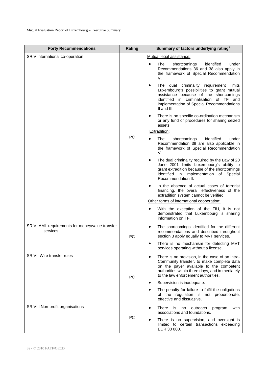| <b>Forty Recommendations</b>                                | Rating    | Summary of factors underlying rating <sup>6</sup>                                                                                                                                                                                                   |
|-------------------------------------------------------------|-----------|-----------------------------------------------------------------------------------------------------------------------------------------------------------------------------------------------------------------------------------------------------|
| SR.V International co-operation                             |           | Mutual legal assistance:<br>The<br>shortcomings<br>identified<br>under<br>Recommendations 36 and 38 also apply in<br>the framework of Special Recommendation<br>V.                                                                                  |
|                                                             |           | The dual criminality requirement limits<br>$\bullet$<br>Luxembourg's possibilities to grant mutual<br>assistance because of the shortcomings<br>identified in criminalisation of TF and<br>implementation of Special Recommendations<br>II and III. |
|                                                             | PC        | There is no specific co-ordination mechanism<br>or any fund or procedures for sharing seized<br>assets.<br>Extradition:                                                                                                                             |
|                                                             |           | The<br>shortcomings<br>identified<br>under<br>Recommendation 39 are also applicable in<br>the framework of Special Recommendation<br>V.                                                                                                             |
|                                                             |           | The dual criminality required by the Law of 20<br>٠<br>June 2001 limits Luxembourg's ability to<br>grant extradition because of the shortcomings<br>identified in implementation of Special<br>Recommendation II.                                   |
|                                                             |           | In the absence of actual cases of terrorist<br>financing, the overall effectiveness of the<br>extradition system cannot be verified.                                                                                                                |
|                                                             |           | Other forms of international cooperation:<br>With the exception of the FIU, it is not<br>demonstrated that Luxembourg is sharing<br>information on TF.                                                                                              |
| SR VI AML requirements for money/value transfer<br>services | PC        | The shortcomings identified for the different<br>٠<br>recommendations and described throughout<br>section 3 apply equally to MVT services.                                                                                                          |
|                                                             |           | There is no mechanism for detecting MVT<br>services operating without a license.                                                                                                                                                                    |
| <b>SR VII Wire transfer rules</b>                           | <b>PC</b> | There is no provision, in the case of an intra-<br>$\bullet$<br>Community transfer, to make complete data<br>on the payer available to the competent<br>authorities within three days, and immediately<br>to the law enforcement authorities.       |
|                                                             |           | Supervision is inadequate.                                                                                                                                                                                                                          |
|                                                             |           | The penalty for failure to fulfil the obligations<br>of the regulation is not proportionate,<br>effective and dissuasive.                                                                                                                           |
| SR.VIII Non-profit organisations                            | PC        | There<br>with<br>$\bullet$<br>is<br>no<br>outreach<br>program<br>associations and foundations.                                                                                                                                                      |
|                                                             |           | There is no supervision, and oversight is<br>$\bullet$<br>limited to certain transactions exceeding<br>EUR 30 000.                                                                                                                                  |